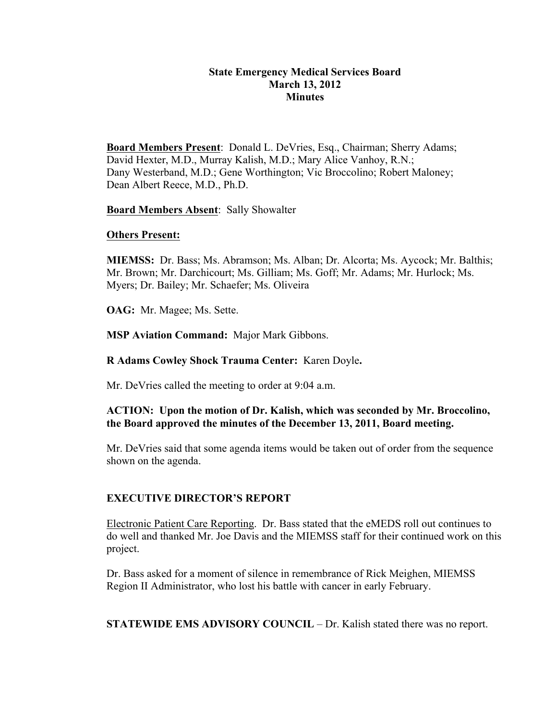### **State Emergency Medical Services Board March 13, 2012 Minutes**

**Board Members Present**: Donald L. DeVries, Esq., Chairman; Sherry Adams; David Hexter, M.D., Murray Kalish, M.D.; Mary Alice Vanhoy, R.N.; Dany Westerband, M.D.; Gene Worthington; Vic Broccolino; Robert Maloney; Dean Albert Reece, M.D., Ph.D.

**Board Members Absent**: Sally Showalter

### **Others Present:**

**MIEMSS:** Dr. Bass; Ms. Abramson; Ms. Alban; Dr. Alcorta; Ms. Aycock; Mr. Balthis; Mr. Brown; Mr. Darchicourt; Ms. Gilliam; Ms. Goff; Mr. Adams; Mr. Hurlock; Ms. Myers; Dr. Bailey; Mr. Schaefer; Ms. Oliveira

**OAG:** Mr. Magee; Ms. Sette.

**MSP Aviation Command:** Major Mark Gibbons.

**R Adams Cowley Shock Trauma Center:** Karen Doyle**.**

Mr. DeVries called the meeting to order at 9:04 a.m.

# **ACTION: Upon the motion of Dr. Kalish, which was seconded by Mr. Broccolino, the Board approved the minutes of the December 13, 2011, Board meeting.**

Mr. DeVries said that some agenda items would be taken out of order from the sequence shown on the agenda.

# **EXECUTIVE DIRECTOR'S REPORT**

Electronic Patient Care Reporting. Dr. Bass stated that the eMEDS roll out continues to do well and thanked Mr. Joe Davis and the MIEMSS staff for their continued work on this project.

Dr. Bass asked for a moment of silence in remembrance of Rick Meighen, MIEMSS Region II Administrator, who lost his battle with cancer in early February.

**STATEWIDE EMS ADVISORY COUNCIL** – Dr. Kalish stated there was no report.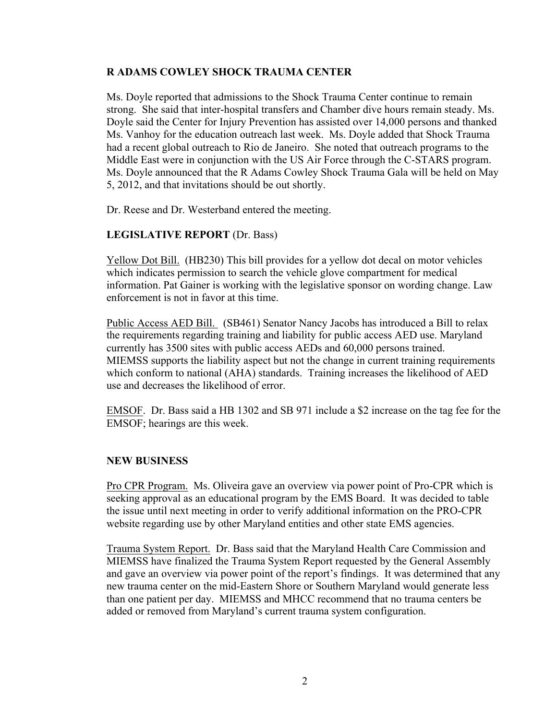## **R ADAMS COWLEY SHOCK TRAUMA CENTER**

Ms. Doyle reported that admissions to the Shock Trauma Center continue to remain strong. She said that inter-hospital transfers and Chamber dive hours remain steady. Ms. Doyle said the Center for Injury Prevention has assisted over 14,000 persons and thanked Ms. Vanhoy for the education outreach last week. Ms. Doyle added that Shock Trauma had a recent global outreach to Rio de Janeiro. She noted that outreach programs to the Middle East were in conjunction with the US Air Force through the C-STARS program. Ms. Doyle announced that the R Adams Cowley Shock Trauma Gala will be held on May 5, 2012, and that invitations should be out shortly.

Dr. Reese and Dr. Westerband entered the meeting.

## **LEGISLATIVE REPORT** (Dr. Bass)

Yellow Dot Bill. (HB230) This bill provides for a yellow dot decal on motor vehicles which indicates permission to search the vehicle glove compartment for medical information. Pat Gainer is working with the legislative sponsor on wording change. Law enforcement is not in favor at this time.

Public Access AED Bill. (SB461) Senator Nancy Jacobs has introduced a Bill to relax the requirements regarding training and liability for public access AED use. Maryland currently has 3500 sites with public access AEDs and 60,000 persons trained. MIEMSS supports the liability aspect but not the change in current training requirements which conform to national (AHA) standards. Training increases the likelihood of AED use and decreases the likelihood of error.

EMSOF. Dr. Bass said a HB 1302 and SB 971 include a \$2 increase on the tag fee for the EMSOF; hearings are this week.

### **NEW BUSINESS**

Pro CPR Program. Ms. Oliveira gave an overview via power point of Pro-CPR which is seeking approval as an educational program by the EMS Board. It was decided to table the issue until next meeting in order to verify additional information on the PRO-CPR website regarding use by other Maryland entities and other state EMS agencies.

Trauma System Report. Dr. Bass said that the Maryland Health Care Commission and MIEMSS have finalized the Trauma System Report requested by the General Assembly and gave an overview via power point of the report's findings. It was determined that any new trauma center on the mid-Eastern Shore or Southern Maryland would generate less than one patient per day. MIEMSS and MHCC recommend that no trauma centers be added or removed from Maryland's current trauma system configuration.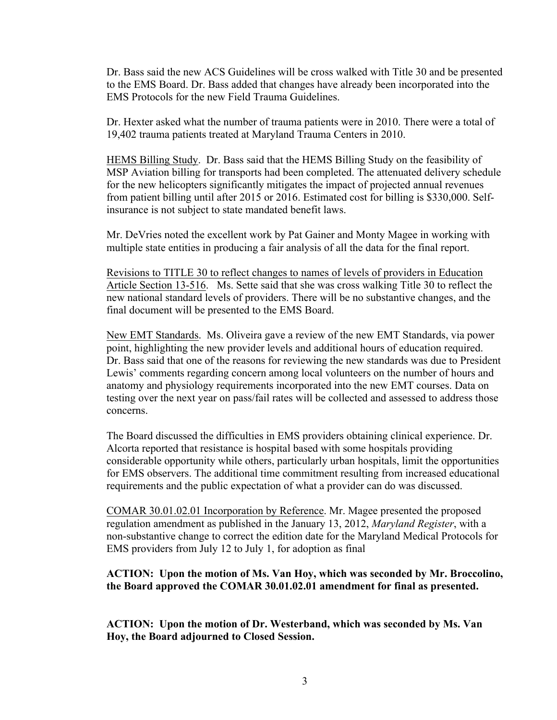Dr. Bass said the new ACS Guidelines will be cross walked with Title 30 and be presented to the EMS Board. Dr. Bass added that changes have already been incorporated into the EMS Protocols for the new Field Trauma Guidelines.

Dr. Hexter asked what the number of trauma patients were in 2010. There were a total of 19,402 trauma patients treated at Maryland Trauma Centers in 2010.

HEMS Billing Study. Dr. Bass said that the HEMS Billing Study on the feasibility of MSP Aviation billing for transports had been completed. The attenuated delivery schedule for the new helicopters significantly mitigates the impact of projected annual revenues from patient billing until after 2015 or 2016. Estimated cost for billing is \$330,000. Selfinsurance is not subject to state mandated benefit laws.

Mr. DeVries noted the excellent work by Pat Gainer and Monty Magee in working with multiple state entities in producing a fair analysis of all the data for the final report.

Revisions to TITLE 30 to reflect changes to names of levels of providers in Education Article Section 13-516. Ms. Sette said that she was cross walking Title 30 to reflect the new national standard levels of providers. There will be no substantive changes, and the final document will be presented to the EMS Board.

New EMT Standards. Ms. Oliveira gave a review of the new EMT Standards, via power point, highlighting the new provider levels and additional hours of education required. Dr. Bass said that one of the reasons for reviewing the new standards was due to President Lewis' comments regarding concern among local volunteers on the number of hours and anatomy and physiology requirements incorporated into the new EMT courses. Data on testing over the next year on pass/fail rates will be collected and assessed to address those concerns.

The Board discussed the difficulties in EMS providers obtaining clinical experience. Dr. Alcorta reported that resistance is hospital based with some hospitals providing considerable opportunity while others, particularly urban hospitals, limit the opportunities for EMS observers. The additional time commitment resulting from increased educational requirements and the public expectation of what a provider can do was discussed.

COMAR 30.01.02.01 Incorporation by Reference. Mr. Magee presented the proposed regulation amendment as published in the January 13, 2012, *Maryland Register*, with a non-substantive change to correct the edition date for the Maryland Medical Protocols for EMS providers from July 12 to July 1, for adoption as final

### **ACTION: Upon the motion of Ms. Van Hoy, which was seconded by Mr. Broccolino, the Board approved the COMAR 30.01.02.01 amendment for final as presented.**

**ACTION: Upon the motion of Dr. Westerband, which was seconded by Ms. Van Hoy, the Board adjourned to Closed Session.**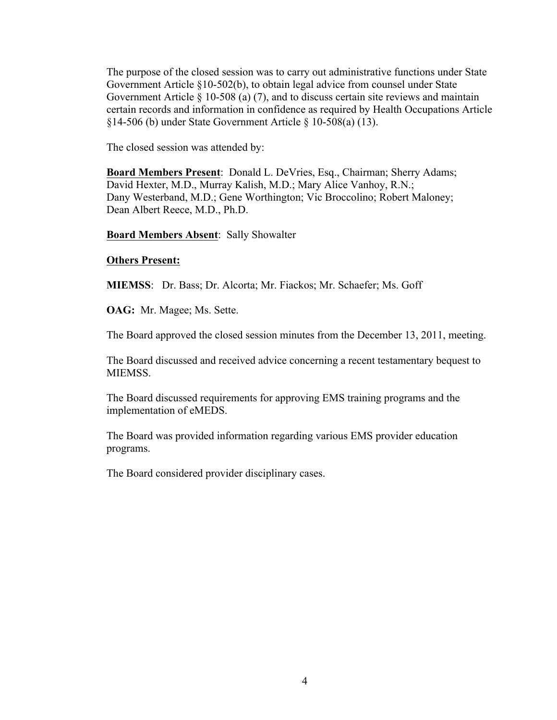The purpose of the closed session was to carry out administrative functions under State Government Article §10-502(b), to obtain legal advice from counsel under State Government Article § 10-508 (a) (7), and to discuss certain site reviews and maintain certain records and information in confidence as required by Health Occupations Article §14-506 (b) under State Government Article § 10-508(a) (13).

The closed session was attended by:

**Board Members Present**: Donald L. DeVries, Esq., Chairman; Sherry Adams; David Hexter, M.D., Murray Kalish, M.D.; Mary Alice Vanhoy, R.N.; Dany Westerband, M.D.; Gene Worthington; Vic Broccolino; Robert Maloney; Dean Albert Reece, M.D., Ph.D.

**Board Members Absent**: Sally Showalter

### **Others Present:**

**MIEMSS**: Dr. Bass; Dr. Alcorta; Mr. Fiackos; Mr. Schaefer; Ms. Goff

**OAG:** Mr. Magee; Ms. Sette.

The Board approved the closed session minutes from the December 13, 2011, meeting.

The Board discussed and received advice concerning a recent testamentary bequest to MIEMSS.

The Board discussed requirements for approving EMS training programs and the implementation of eMEDS.

The Board was provided information regarding various EMS provider education programs.

The Board considered provider disciplinary cases.